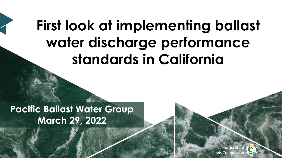# **First look at implementing ballast water discharge performance standards in California**

**Pacific Ballast Water Group March 29, 2022**

> California State Lands Commissio

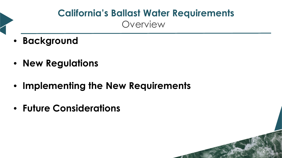### **California's Ballast Water Requirements** Overview

- **Background**
- **New Regulations**
- **Implementing the New Requirements**
- **Future Considerations**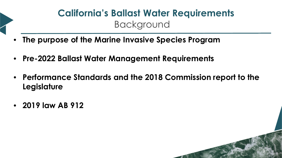### **California's Ballast Water Requirements Background**

- **The purpose of the Marine Invasive Species Program**
- **Pre-2022 Ballast Water Management Requirements**
- **Performance Standards and the 2018 Commission report to the Legislature**

3

• **2019 law AB 912**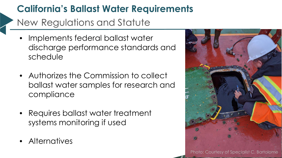### **California's Ballast Water Requirements**

New Regulations and Statute

- Implements federal ballast water discharge performance standards and schedule
- Authorizes the Commission to collect ballast water samples for research and compliance
- Requires ballast water treatment systems monitoring if used
- Alternatives

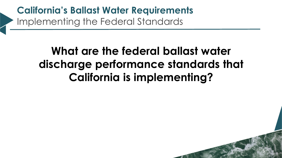**California's Ballast Water Requirements** Implementing the Federal Standards

## **What are the federal ballast water discharge performance standards that California is implementing?**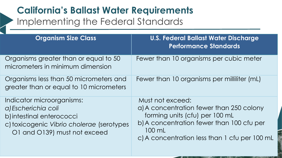### **California's Ballast Water Requirements** Implementing the Federal Standards

| <b>Organism Size Class</b>                                                                                                                                 | <b>U.S. Federal Ballast Water Discharge</b><br><b>Performance Standards</b>                                                                                                                            |
|------------------------------------------------------------------------------------------------------------------------------------------------------------|--------------------------------------------------------------------------------------------------------------------------------------------------------------------------------------------------------|
| Organisms greater than or equal to 50<br>micrometers in minimum dimension                                                                                  | Fewer than 10 organisms per cubic meter                                                                                                                                                                |
| Organisms less than 50 micrometers and<br>greater than or equal to 10 micrometers                                                                          | Fewer than 10 organisms per milliliter (mL)                                                                                                                                                            |
| Indicator microorganisms:<br>a) Escherichia coli<br>b) intestinal enterococci<br>c) toxicogenic Vibrio cholerae (serotypes<br>O1 and O139) must not exceed | Must not exceed:<br>a) A concentration fewer than 250 colony<br>forming units (cfu) per 100 mL<br>b) A concentration fewer than 100 cfu per<br>100 mL<br>c) A concentration less than 1 cfu per 100 mL |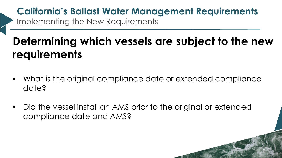### **California's Ballast Water Management Requirements** Implementing the New Requirements

## **Determining which vessels are subject to the new requirements**

- What is the original compliance date or extended compliance date?
- Did the vessel install an AMS prior to the original or extended compliance date and AMS?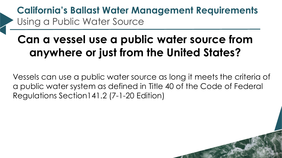**California's Ballast Water Management Requirements** Using a Public Water Source

## **Can a vessel use a public water source from anywhere or just from the United States?**

Vessels can use a public water source as long it meets the criteria of a public water system as defined in Title 40 of the Code of Federal Regulations Section141.2 (7-1-20 Edition)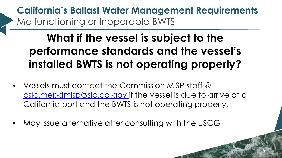**California's Ballast Water Management Requirements** Malfunctioning or Inoperable BWTS

## **What if the vessel is subject to the performance standards and the vessel's installed BWTS is not operating properly?**

- Vessels must contact the Commission MISP staff @ [cslc.mepdmisp@slc.ca.gov](mailto:cslc.mepdmisp@slc.ca.gov) if the vessel is due to arrive at a California port and the BWTS is not operating properly.
- May issue alternative after consulting with the USCG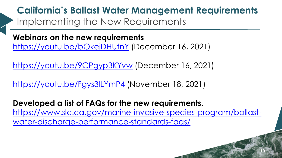**California's Ballast Water Management Requirements** Implementing the New Requirements

**Webinars on the new requirements** <https://youtu.be/bOkejDHUtnY> (December 16, 2021)

<https://youtu.be/9CPgyp3KYvw> (December 16, 2021)

<https://youtu.be/Fgys3lLYmP4> (November 18, 2021)

**Developed a list of FAQs for the new requirements.** [https://www.slc.ca.gov/marine-invasive-species-program/ballast](https://www.slc.ca.gov/marine-invasive-species-program/ballast-water-discharge-performance-standards-faqs/)[water-discharge-performance-standards-faqs/](https://www.slc.ca.gov/marine-invasive-species-program/ballast-water-discharge-performance-standards-faqs/)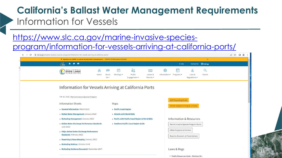### **California's Ballast Water Management Requirements** Information for Vessels

### [https://www.slc.ca.gov/marine-invasive-species-](https://www.slc.ca.gov/marine-invasive-species-program/information-for-vessels-arriving-at-california-ports/)

[program/information-for-vessels-arriving-at-california-ports/](https://www.slc.ca.gov/marine-invasive-species-program/information-for-vessels-arriving-at-california-ports/)

| <sup>®</sup> Updates on COVID-19 can be found in the Commission's COVID-19 Resource Center |                                                                                       |                                |                                      |                                       | $\times$                     |  |
|--------------------------------------------------------------------------------------------|---------------------------------------------------------------------------------------|--------------------------------|--------------------------------------|---------------------------------------|------------------------------|--|
| $\hat{\mathbf{a}}$ y o                                                                     |                                                                                       |                                | F-Lists                              |                                       | Contact Us <b>C</b> Settings |  |
| <b>STATE LANDS</b><br>COMMISSION<br>Home                                                   | 曲<br>òi<br>Public<br>Meetings $\blacktriangledown$<br>About<br>$Us =$<br>Engagement = | $l =$<br>Leases &<br>Permits - | Information $\star$<br>Programs -    | 盒<br>Laws &<br>Regulations v          | Q<br>Search                  |  |
| Information for Vessels Arriving at California Ports                                       |                                                                                       |                                |                                      |                                       |                              |  |
| Feb 10, 2022   Marine Invasive Species Program                                             |                                                                                       |                                | <b>MISP Reporting Portal</b>         |                                       |                              |  |
| <b>Information Sheets</b>                                                                  | Maps                                                                                  |                                |                                      | Info for Vessels Arriving at CA Ports |                              |  |
| General Information (March 2021)                                                           | ▶ Pacific Coast Region                                                                |                                |                                      |                                       |                              |  |
| Ballast Water Management (January 2022)                                                    | Atlantic with World EEZs                                                              |                                |                                      |                                       |                              |  |
| Biofouling Management (January 2022)                                                       | Pacific with Pacific Coast Region & World EEZs                                        |                                |                                      | <b>Information &amp; Resources</b>    |                              |  |
| Ballast Water Discharge Performance Standards<br>(July 2021)                               | Southern Pacific Coast Region Guide                                                   |                                |                                      | Marine Invasive Species Program Home  |                              |  |
| FAQs: Ballast Water Discharge Performance<br><b>Standards</b> (February 2022)              |                                                                                       |                                | <b>Other Programs &amp; Partners</b> | Reports, Research, & Presentations    |                              |  |
| Reporting & Recordkeeping (January 2022)                                                   |                                                                                       |                                |                                      |                                       |                              |  |
| Biofouling Webinar (October 2018)                                                          |                                                                                       |                                |                                      |                                       |                              |  |
| Biofouling Guidance Document (September 2017)                                              |                                                                                       |                                | Laws & Regs                          |                                       |                              |  |

Public Resources Code - Division 36 -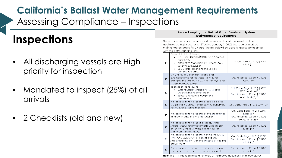### **California's Ballast Water Management Requirements** Assessing Compliance – Inspections

## **Inspections**

- All discharging vessels are High priority for inspection
- Mandated to inspect (25%) of all arrivals
- 2 Checklists (old and new)

#### Recordkeeping and Ballast Water Treatment System performance requirements

These documents and records must be kept on board the vessel and be available during inspections. Effective January 1, 2022, the records must be maintained on board for 2 years. The records will be used to assess compliance with the corresponding laws.

| □      | Copy of 1 of the following:<br>U.S. Coast Guard (USCG) Type Approval<br>certificate:<br>• Alternative Management System (AMS)<br>letter from USCG: or<br>• USCG letter extending the vessel's<br>compliance date. | Cal. Code Regs., tit. 2, § 2297,<br>subd. (c)*                                                                          |
|--------|-------------------------------------------------------------------------------------------------------------------------------------------------------------------------------------------------------------------|-------------------------------------------------------------------------------------------------------------------------|
| $\Box$ | Manufacturer's technical guides and<br>publications the for the vesse is BWTS. For<br>exomple, the OPERATION, MAINTENANCE, and<br>SAFETY MANJAL (OMSM).                                                           | Pub. Resources Code, § 71205,<br>subd. (n)**                                                                            |
| □      | Records of the following:<br>System Design Limitations (SDLs) and<br>Operational Parameters; or<br>• Sensor and control equipment<br>calibrations.                                                                | Cal. Code Regs., fit. 2, §§ 2295,<br>2297, subd. (a)*<br>Pub. Resources Code, § 71205,<br>subd. (h)(4)(D) <sup>-+</sup> |
| п      | Printed or electronic records of any Biological<br>Monitoring including the detes, who performed<br>the tests, and testing methods.                                                                               | Col. Code Regs., fit. 2, § 2297 (b)*                                                                                    |
| □      | Printed or electronic records of the procedures<br>to follow in case of BWTS malfunction.                                                                                                                         | Cal. Code Regs., fit. 2, § 2297,<br>subd. (d)*<br>Pub. Resources Code, § 71205,<br>subd. (h)(4)(8)**                    |
| $\Box$ | Printed or electronic Moterial Safety Data<br>Sheets (MSDS) for any chemicals used as part<br>of the BWTS pracess. MSDS are now called<br>Safety Data Sheets (SDS).                                               | Pub. Resources Code, § 71205,<br>supp. (h)*                                                                             |
| П      | Printed or electronic records having the DATE,<br>TIME, AND LOCATION of the starting and<br>stopping of the BWTS for the purpose of treating<br>ballast water.                                                    | Cal. Code Regs., tit. 2, § 2297*<br>Pub. Resources Code, § 71205,<br>subd. (h)*                                         |
| □      | Printed or electronic records of any scheduled<br>or unscheduled system mointenance events.                                                                                                                       | Pub. Resources Code, § 71205,<br>supo. (h)*                                                                             |
|        |                                                                                                                                                                                                                   |                                                                                                                         |

**Note:** This list is intended to be a summary of the require documents and records. For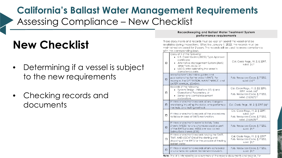### **California's Ballast Water Management Requirements** Assessing Compliance – New Checklist

## **New Checklist**

- Determining if a vessel is subject to the new requirements
- Checking records and documents

#### Recordkeeping and Ballast Water Treatment System performance requirements

These documents and records must be kept on board the vessel and be available during inspections. Effective January 1, 2022, the records must be maintained on board for 2 years. The records will be used to assess compliance with the corresponding laws.

| □      | Copy of 1 of the following:<br>U.S. Coast Guard (USCG) Type Approval<br>certificate:<br>• Alternative Management System (AMS)<br>letter from USCG: or<br>• USCG letter extending the vessel's<br>compliance date. | Cal. Code Regs., tit. 2, § 2297,<br>subd. $(c)$ <sup>*</sup>                                                            |
|--------|-------------------------------------------------------------------------------------------------------------------------------------------------------------------------------------------------------------------|-------------------------------------------------------------------------------------------------------------------------|
| $\Box$ | Manufacturer's technical guides and<br>publications the for the vesse is BWTS. For<br>example, the OPERATION, MAINTENANCE, and<br>SAFETY MANJAL (OMSM).                                                           | Pub. Resources Code, § 71205,<br>subd. (n)**                                                                            |
| $\Box$ | Records of the following:<br>System Design Limitations (SDLs) and<br>Operational Parameters: or<br>• Sensor and control equipment<br>calibrations.                                                                | Cal. Code Regs., fit. 2, §§ 2295,<br>2297, subd. (a)*<br>Pub. Resources Code, § 71205,<br>subd. (h)(4)(D) <sup>-+</sup> |
| п      | Printed or electronic records of any Biological<br>Monitoring including the detes, who performed<br>the tests, and testing methods.                                                                               | Col. Code Regs., fit. 2, § 2297 (b)*                                                                                    |
| □      | Printed or electronic records of the procedures<br>to follow in case of BWTS malfunction.                                                                                                                         | Cal. Code Regs., fit. 2, § 2297,<br>subd. (d)*<br>Pub. Resources Code, § 71205,<br>subd. (h)(4)(8)**                    |
| $\Box$ | Printed or electronic Moterial Safety Data<br>Sheets (MSDS) for any chemicals used as part<br>of the BWTS pracess. MSDS are now called<br>Safety Data Sheets (SDS).                                               | Pub. Resources Code, § 71205,<br>supp. (h)*                                                                             |
| П      | Printed or electronic records having the DATE,<br>TIME, AND LOCATION of the starting and<br>stopping of the BWTS for the purpose of treating<br>ballast water.                                                    | Cal. Code Regs., tit. 2, § 2297*<br>Pub. Resources Code, § 71205,<br>subd. (h)*                                         |
| O      | Printed or electronic records of any scheduled<br>or unscheduled system mointenance events.                                                                                                                       | Pub. Resources Code, § 71205,<br>supo. [h]*                                                                             |
|        |                                                                                                                                                                                                                   |                                                                                                                         |

**Note:** This list is intended to be a summary of the require documents and records. For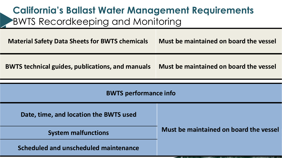### **California's Ballast Water Management Requirements** BWTS Recordkeeping and Monitoring

| <b>Material Safety Data Sheets for BWTS chemicals</b> | Must be maintained on board the vessel |  |  |
|-------------------------------------------------------|----------------------------------------|--|--|
| BWTS technical guides, publications, and manuals      | Must be maintained on board the vessel |  |  |
|                                                       |                                        |  |  |
| <b>BWTS performance info</b>                          |                                        |  |  |
| Date, time, and location the BWTS used                |                                        |  |  |
| <b>System malfunctions</b>                            | Must be maintained on board the vessel |  |  |
| Scheduled and unscheduled maintenance                 |                                        |  |  |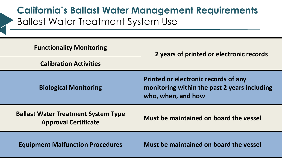### **California's Ballast Water Management Requirements** Ballast Water Treatment System Use

| <b>Functionality Monitoring</b>                                           | 2 years of printed or electronic records                                                                   |  |  |
|---------------------------------------------------------------------------|------------------------------------------------------------------------------------------------------------|--|--|
| <b>Calibration Activities</b>                                             |                                                                                                            |  |  |
| <b>Biological Monitoring</b>                                              | Printed or electronic records of any<br>monitoring within the past 2 years including<br>who, when, and how |  |  |
| <b>Ballast Water Treatment System Type</b><br><b>Approval Certificate</b> | Must be maintained on board the vessel                                                                     |  |  |
| <b>Equipment Malfunction Procedures</b>                                   | Must be maintained on board the vessel                                                                     |  |  |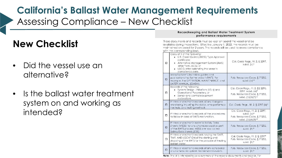### **California's Ballast Water Management Requirements** Assessing Compliance – New Checklist

### **New Checklist**

- Did the vessel use an alternative?
- Is the ballast water treatment system on and working as intended?

#### Recordkeeping and Ballast Water Treatment System performance requirements

These documents and records must be kept on board the vessel and be available during inspections. Effective January 1, 2022, the records must be maintained on board for 2 years. The records will be used to assess compliance with the corresponding laws.

| Copy of 1 of the following:<br>U.S. Coast Guard (USCG) Type Approval<br>certificate:<br>• Alternative Management System (AMS)<br>□<br>subd. (c)*<br>letter from USCG: or<br>• USCG letter extending the vessel's<br>compliance date.<br>Manufacturer's technical guides and<br>publications the for the vesse is BWTS. For<br>$\Box$<br>exomple, the OPERATION, MAINTENANCE, and<br>subd. (n)**<br>SAFETY MANJAL (OMSM).<br>Records of the following:<br>System Design Limitations (SDLs) and<br>2297, subd. (a)*<br>Operational Parameters; or<br>□<br>• Sensor and control equipment<br>subd. (h)(4)(D) <sup>-+</sup><br>calibrations.<br>Printed or electronic records of any Biological<br>Monitoring including the detes, who performed<br>п<br>the tests, and testing methods.<br>subd. (d)*<br>Printed or electronic records of the procedures<br>о<br>to follow in case of BWTS malfunction.<br>subd. (h)(4)(8)**<br>Printed or electronic Moterial Safety Data<br>Sheets (MSDS) for any chemicals used as part<br>$\Box$<br>of the BWTS pracess. MSDS are now called<br>supo. (h)*<br>Safety Data Sheets (SDS).<br>Printed or electronic records having the DATE,<br>TIME, AND LOCATION of the starting and<br>П |                                                  |                                                                                 |
|---------------------------------------------------------------------------------------------------------------------------------------------------------------------------------------------------------------------------------------------------------------------------------------------------------------------------------------------------------------------------------------------------------------------------------------------------------------------------------------------------------------------------------------------------------------------------------------------------------------------------------------------------------------------------------------------------------------------------------------------------------------------------------------------------------------------------------------------------------------------------------------------------------------------------------------------------------------------------------------------------------------------------------------------------------------------------------------------------------------------------------------------------------------------------------------------------------------------------|--------------------------------------------------|---------------------------------------------------------------------------------|
|                                                                                                                                                                                                                                                                                                                                                                                                                                                                                                                                                                                                                                                                                                                                                                                                                                                                                                                                                                                                                                                                                                                                                                                                                           |                                                  | Cal. Code Regs., tit. 2, § 2297,                                                |
|                                                                                                                                                                                                                                                                                                                                                                                                                                                                                                                                                                                                                                                                                                                                                                                                                                                                                                                                                                                                                                                                                                                                                                                                                           |                                                  | Pub. Resources Code, § 71205,                                                   |
|                                                                                                                                                                                                                                                                                                                                                                                                                                                                                                                                                                                                                                                                                                                                                                                                                                                                                                                                                                                                                                                                                                                                                                                                                           |                                                  | Cal. Code Regs., fit. 2, §§ 2295,<br>Pub. Resources Code, § 71205,              |
|                                                                                                                                                                                                                                                                                                                                                                                                                                                                                                                                                                                                                                                                                                                                                                                                                                                                                                                                                                                                                                                                                                                                                                                                                           |                                                  | Col. Code Regs., fit. 2, § 2297 (b)*                                            |
|                                                                                                                                                                                                                                                                                                                                                                                                                                                                                                                                                                                                                                                                                                                                                                                                                                                                                                                                                                                                                                                                                                                                                                                                                           |                                                  | Cal. Code Regs., fit. 2, § 2297,<br>Pub. Resources Code, § 71205,               |
|                                                                                                                                                                                                                                                                                                                                                                                                                                                                                                                                                                                                                                                                                                                                                                                                                                                                                                                                                                                                                                                                                                                                                                                                                           |                                                  | Pub. Resources Code, § 71205,                                                   |
| ballast water.                                                                                                                                                                                                                                                                                                                                                                                                                                                                                                                                                                                                                                                                                                                                                                                                                                                                                                                                                                                                                                                                                                                                                                                                            | stopping of the BWTS for the purpose of treating | Cal. Code Regs., fit. 2, § 2297*<br>Pub. Resources Code, § 71205,<br>subd. (h)* |
| Printed or electronic records of any scheduled<br>□<br>or unscheduled system mointenance events.<br>supo. [h]*                                                                                                                                                                                                                                                                                                                                                                                                                                                                                                                                                                                                                                                                                                                                                                                                                                                                                                                                                                                                                                                                                                            |                                                  | Pub. Resources Code, § 71205,                                                   |

**Note:** This list is intended to be a summary of the require documents and records. For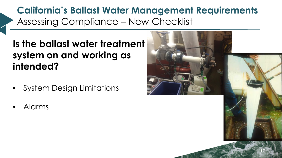**California's Ballast Water Management Requirements** Assessing Compliance – New Checklist

**Is the ballast water treatment system on and working as intended?** 

- System Design Limitations
- Alarms

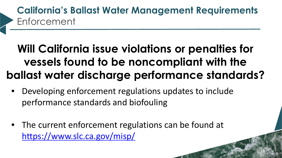### **California's Ballast Water Management Requirements** Enforcement

## **Will California issue violations or penalties for vessels found to be noncompliant with the ballast water discharge performance standards?**

- Developing enforcement regulations updates to include performance standards and biofouling
- The current enforcement regulations can be found at <https://www.slc.ca.gov/misp/>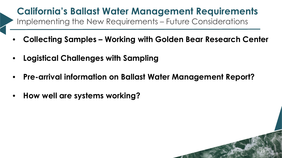### **California's Ballast Water Management Requirements** Implementing the New Requirements – Future Considerations

- **Collecting Samples Working with Golden Bear Research Center**
- **Logistical Challenges with Sampling**
- **Pre-arrival information on Ballast Water Management Report?**

19

• **How well are systems working?**